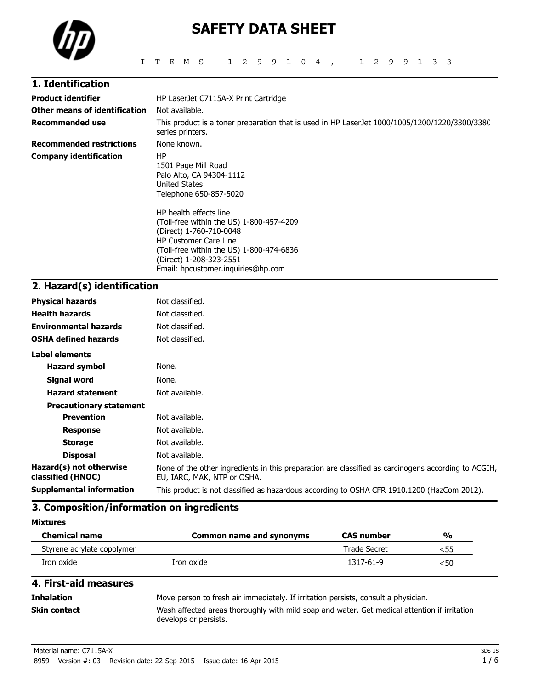

# **SAFETY DATA SHEET**

| 1. Identification               |                                                                                                                                                                                                                                            |  |  |  |
|---------------------------------|--------------------------------------------------------------------------------------------------------------------------------------------------------------------------------------------------------------------------------------------|--|--|--|
| <b>Product identifier</b>       | HP LaserJet C7115A-X Print Cartridge                                                                                                                                                                                                       |  |  |  |
| Other means of identification   | Not available.                                                                                                                                                                                                                             |  |  |  |
| <b>Recommended use</b>          | This product is a toner preparation that is used in HP LaserJet 1000/1005/1200/1220/3300/3380<br>series printers.                                                                                                                          |  |  |  |
| <b>Recommended restrictions</b> | None known.                                                                                                                                                                                                                                |  |  |  |
| <b>Company identification</b>   | ΗP<br>1501 Page Mill Road<br>Palo Alto, CA 94304-1112<br>United States<br>Telephone 650-857-5020                                                                                                                                           |  |  |  |
|                                 | HP health effects line<br>(Toll-free within the US) 1-800-457-4209<br>(Direct) 1-760-710-0048<br><b>HP Customer Care Line</b><br>(Toll-free within the US) 1-800-474-6836<br>(Direct) 1-208-323-2551<br>Email: hpcustomer.inquiries@hp.com |  |  |  |

# **2. Hazard(s) identification**

| <b>Physical hazards</b>                      | Not classified.                                                                                                                    |
|----------------------------------------------|------------------------------------------------------------------------------------------------------------------------------------|
| <b>Health hazards</b>                        | Not classified.                                                                                                                    |
| <b>Environmental hazards</b>                 | Not classified.                                                                                                                    |
| <b>OSHA defined hazards</b>                  | Not classified.                                                                                                                    |
| Label elements                               |                                                                                                                                    |
| <b>Hazard symbol</b>                         | None.                                                                                                                              |
| Signal word                                  | None.                                                                                                                              |
| <b>Hazard statement</b>                      | Not available.                                                                                                                     |
| <b>Precautionary statement</b>               |                                                                                                                                    |
| <b>Prevention</b>                            | Not available.                                                                                                                     |
| <b>Response</b>                              | Not available.                                                                                                                     |
| <b>Storage</b>                               | Not available.                                                                                                                     |
| <b>Disposal</b>                              | Not available.                                                                                                                     |
| Hazard(s) not otherwise<br>classified (HNOC) | None of the other ingredients in this preparation are classified as carcinogens according to ACGIH,<br>EU, IARC, MAK, NTP or OSHA. |
| <b>Supplemental information</b>              | This product is not classified as hazardous according to OSHA CFR 1910.1200 (HazCom 2012).                                         |
|                                              |                                                                                                                                    |

# **3. Composition/information on ingredients**

**Mixtures**

| <b>Chemical name</b>       | Common name and synonyms | <b>CAS</b> number   | $\frac{0}{0}$ |
|----------------------------|--------------------------|---------------------|---------------|
| Styrene acrylate copolymer |                          | <b>Trade Secret</b> | <55           |
| Iron oxide                 | Iron oxide               | 1317-61-9           | <50           |

## **4. First-aid measures**

**Inhalation** Move person to fresh air immediately. If irritation persists, consult a physician. **Skin contact** Wash affected areas thoroughly with mild soap and water. Get medical attention if irritation develops or persists.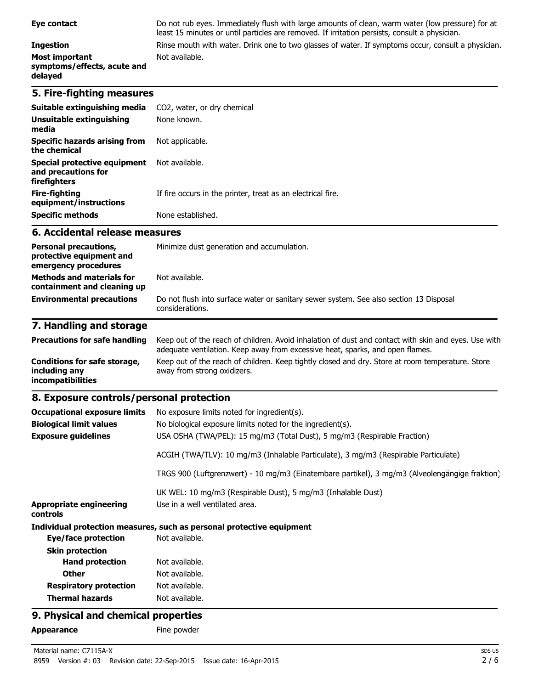#### **Ingestion** Rinse mouth with water. Drink one to two glasses of water. If symptoms occur, consult a physician. **Most important symptoms/effects, acute and delayed**

## **5. Fire-fighting measures**

| Suitable extinguishing media<br>Unsuitable extinguishing<br>media   | CO2, water, or dry chemical<br>None known.                  |
|---------------------------------------------------------------------|-------------------------------------------------------------|
| Specific hazards arising from<br>the chemical                       | Not applicable.                                             |
| Special protective equipment<br>and precautions for<br>firefighters | Not available.                                              |
| Fire-fighting<br>equipment/instructions                             | If fire occurs in the printer, treat as an electrical fire. |
| <b>Specific methods</b>                                             | None established.                                           |

Not available.

# **6. Accidental release measures**

| <b>Personal precautions,</b><br>protective equipment and<br>emergency procedures | Minimize dust generation and accumulation.                                                                |
|----------------------------------------------------------------------------------|-----------------------------------------------------------------------------------------------------------|
| <b>Methods and materials for</b><br>containment and cleaning up                  | Not available.                                                                                            |
| <b>Environmental precautions</b>                                                 | Do not flush into surface water or sanitary sewer system. See also section 13 Disposal<br>considerations. |

least 15 minutes or until particles are removed. If irritation persists, consult a physician.

# **7. Handling and storage**

| <b>Precautions for safe handling</b>                                      | Keep out of the reach of children. Avoid inhalation of dust and contact with skin and eyes. Use with<br>adequate ventilation. Keep away from excessive heat, sparks, and open flames. |
|---------------------------------------------------------------------------|---------------------------------------------------------------------------------------------------------------------------------------------------------------------------------------|
| Conditions for safe storage,<br>including any<br><b>incompatibilities</b> | Keep out of the reach of children. Keep tightly closed and dry. Store at room temperature. Store<br>away from strong oxidizers.                                                       |

### **8. Exposure controls/personal protection**

| <b>Occupational exposure limits</b>        | No exposure limits noted for ingredient(s).                                                    |
|--------------------------------------------|------------------------------------------------------------------------------------------------|
| <b>Biological limit values</b>             | No biological exposure limits noted for the ingredient(s).                                     |
| <b>Exposure guidelines</b>                 | USA OSHA (TWA/PEL): 15 mg/m3 (Total Dust), 5 mg/m3 (Respirable Fraction)                       |
|                                            | ACGIH (TWA/TLV): 10 mg/m3 (Inhalable Particulate), 3 mg/m3 (Respirable Particulate)            |
|                                            | TRGS 900 (Luftgrenzwert) - 10 mg/m3 (Einatembare partikel), 3 mg/m3 (Alveolengängige fraktion) |
|                                            | UK WEL: 10 mg/m3 (Respirable Dust), 5 mg/m3 (Inhalable Dust)                                   |
| <b>Appropriate engineering</b><br>controls | Use in a well ventilated area.                                                                 |
|                                            | Individual protection measures, such as personal protective equipment                          |
| Eye/face protection                        | Not available.                                                                                 |
| <b>Skin protection</b>                     |                                                                                                |
| <b>Hand protection</b>                     | Not available.                                                                                 |
| <b>Other</b>                               | Not available.                                                                                 |
| <b>Respiratory protection</b>              | Not available.                                                                                 |
| <b>Thermal hazards</b>                     | Not available.                                                                                 |

# **9. Physical and chemical properties**

Appearance Fine powder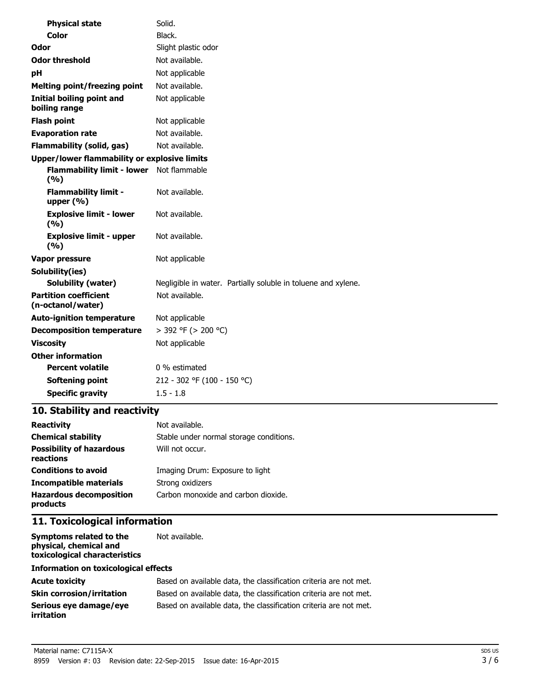| <b>Physical state</b>                             | Solid.                                                        |
|---------------------------------------------------|---------------------------------------------------------------|
| <b>Color</b>                                      | Black.                                                        |
| Odor                                              | Slight plastic odor                                           |
| <b>Odor threshold</b>                             | Not available.                                                |
| рH                                                | Not applicable                                                |
| <b>Melting point/freezing point</b>               | Not available.                                                |
| <b>Initial boiling point and</b><br>boiling range | Not applicable                                                |
| <b>Flash point</b>                                | Not applicable                                                |
| <b>Evaporation rate</b>                           | Not available.                                                |
| <b>Flammability (solid, gas)</b>                  | Not available.                                                |
| Upper/lower flammability or explosive limits      |                                                               |
| Flammability limit - lower Not flammable<br>(9/6) |                                                               |
| <b>Flammability limit -</b><br>upper $(% )$       | Not available.                                                |
| <b>Explosive limit - lower</b><br>(%)             | Not available.                                                |
| <b>Explosive limit - upper</b><br>(9/6)           | Not available.                                                |
| Vapor pressure                                    | Not applicable                                                |
| Solubility(ies)                                   |                                                               |
| <b>Solubility (water)</b>                         | Negligible in water. Partially soluble in toluene and xylene. |
| <b>Partition coefficient</b><br>(n-octanol/water) | Not available.                                                |
| <b>Auto-ignition temperature</b>                  | Not applicable                                                |
| <b>Decomposition temperature</b>                  | > 392 °F (> 200 °C)                                           |
| <b>Viscosity</b>                                  | Not applicable                                                |
| <b>Other information</b>                          |                                                               |
| <b>Percent volatile</b>                           | 0 % estimated                                                 |
| Softening point                                   | 212 - 302 °F (100 - 150 °C)                                   |
| <b>Specific gravity</b>                           | $1.5 - 1.8$                                                   |

# **10. Stability and reactivity**

| <b>Reactivity</b>                            | Not available.                          |
|----------------------------------------------|-----------------------------------------|
| <b>Chemical stability</b>                    | Stable under normal storage conditions. |
| <b>Possibility of hazardous</b><br>reactions | Will not occur.                         |
| <b>Conditions to avoid</b>                   | Imaging Drum: Exposure to light         |
| Incompatible materials                       | Strong oxidizers                        |
| <b>Hazardous decomposition</b><br>products   | Carbon monoxide and carbon dioxide.     |

# **11. Toxicological information**

| Symptoms related to the<br>physical, chemical and<br>toxicological characteristics | Not available.                                                    |  |
|------------------------------------------------------------------------------------|-------------------------------------------------------------------|--|
| Information on toxicological effects                                               |                                                                   |  |
| <b>Acute toxicity</b>                                                              | Based on available data, the classification criteria are not met. |  |
| <b>Skin corrosion/irritation</b>                                                   | Based on available data, the classification criteria are not met. |  |
| Serious eye damage/eye<br>irritation                                               | Based on available data, the classification criteria are not met. |  |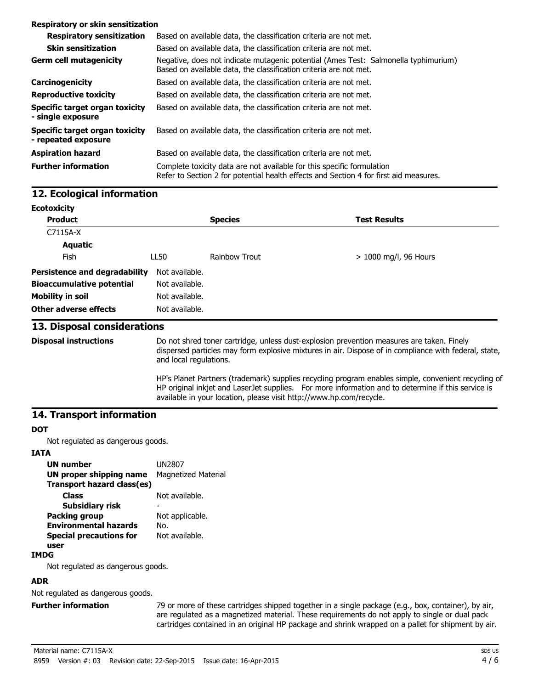#### **Respiratory or skin sensitization**

| <b>Respiratory sensitization</b>                      | Based on available data, the classification criteria are not met.                                                                                               |
|-------------------------------------------------------|-----------------------------------------------------------------------------------------------------------------------------------------------------------------|
| <b>Skin sensitization</b>                             | Based on available data, the classification criteria are not met.                                                                                               |
| <b>Germ cell mutagenicity</b>                         | Negative, does not indicate mutagenic potential (Ames Test: Salmonella typhimurium)<br>Based on available data, the classification criteria are not met.        |
| Carcinogenicity                                       | Based on available data, the classification criteria are not met.                                                                                               |
| <b>Reproductive toxicity</b>                          | Based on available data, the classification criteria are not met.                                                                                               |
| Specific target organ toxicity<br>- single exposure   | Based on available data, the classification criteria are not met.                                                                                               |
| Specific target organ toxicity<br>- repeated exposure | Based on available data, the classification criteria are not met.                                                                                               |
| <b>Aspiration hazard</b>                              | Based on available data, the classification criteria are not met.                                                                                               |
| <b>Further information</b>                            | Complete toxicity data are not available for this specific formulation<br>Refer to Section 2 for potential health effects and Section 4 for first aid measures. |

# **12. Ecological information**

| <b>Ecotoxicity</b>                   |                |                |                         |
|--------------------------------------|----------------|----------------|-------------------------|
| <b>Product</b>                       |                | <b>Species</b> | <b>Test Results</b>     |
| C7115A-X                             |                |                |                         |
| <b>Aquatic</b>                       |                |                |                         |
| Fish                                 | LL50           | Rainbow Trout  | $> 1000$ mg/l, 96 Hours |
| <b>Persistence and degradability</b> | Not available. |                |                         |
| <b>Bioaccumulative potential</b>     | Not available. |                |                         |
| <b>Mobility in soil</b>              | Not available. |                |                         |
| Other adverse effects                | Not available. |                |                         |

#### **13. Disposal considerations**

**Disposal instructions** Do not shred toner cartridge, unless dust-explosion prevention measures are taken. Finely dispersed particles may form explosive mixtures in air. Dispose of in compliance with federal, state, and local regulations.

> HP's Planet Partners (trademark) supplies recycling program enables simple, convenient recycling of HP original inkjet and LaserJet supplies. For more information and to determine if this service is available in your location, please visit http://www.hp.com/recycle.

#### **14. Transport information**

#### **DOT**

Not regulated as dangerous goods.

#### **IATA**

| <b>UN number</b>               | UN2807                     |
|--------------------------------|----------------------------|
| <b>UN proper shipping name</b> | <b>Magnetized Material</b> |
| Transport hazard class(es)     |                            |
| <b>Class</b>                   | Not available.             |
| <b>Subsidiary risk</b>         |                            |
| <b>Packing group</b>           | Not applicable.            |
| <b>Environmental hazards</b>   | No.                        |
| <b>Special precautions for</b> | Not available.             |
| user                           |                            |
|                                |                            |

#### **IMDG**

Not regulated as dangerous goods.

#### **ADR**

Not regulated as dangerous goods.

**Further information** 79 or more of these cartridges shipped together in a single package (e.g., box, container), by air, are regulated as a magnetized material. These requirements do not apply to single or dual pack cartridges contained in an original HP package and shrink wrapped on a pallet for shipment by air.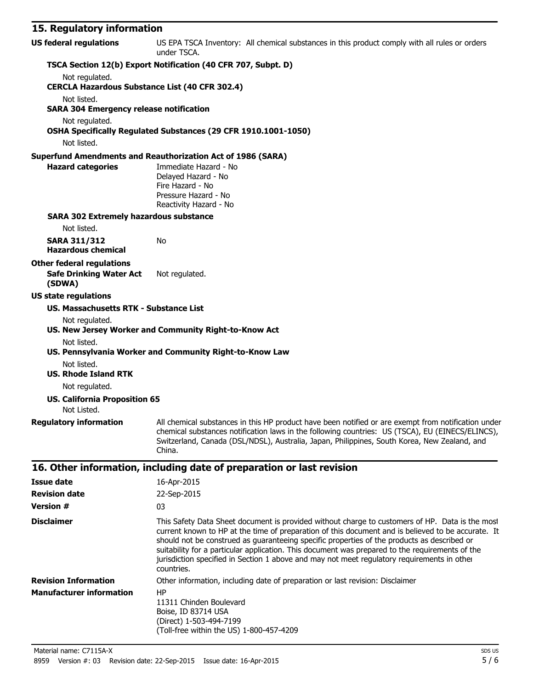# **15. Regulatory information**

| <b>US federal regulations</b>                                 | US EPA TSCA Inventory: All chemical substances in this product comply with all rules or orders<br>under TSCA.                                                                                                                                                                                                                            |
|---------------------------------------------------------------|------------------------------------------------------------------------------------------------------------------------------------------------------------------------------------------------------------------------------------------------------------------------------------------------------------------------------------------|
|                                                               | TSCA Section 12(b) Export Notification (40 CFR 707, Subpt. D)                                                                                                                                                                                                                                                                            |
| Not regulated.                                                |                                                                                                                                                                                                                                                                                                                                          |
| <b>CERCLA Hazardous Substance List (40 CFR 302.4)</b>         |                                                                                                                                                                                                                                                                                                                                          |
| Not listed.<br><b>SARA 304 Emergency release notification</b> |                                                                                                                                                                                                                                                                                                                                          |
| Not regulated.                                                |                                                                                                                                                                                                                                                                                                                                          |
| Not listed.                                                   | OSHA Specifically Regulated Substances (29 CFR 1910.1001-1050)                                                                                                                                                                                                                                                                           |
|                                                               | <b>Superfund Amendments and Reauthorization Act of 1986 (SARA)</b>                                                                                                                                                                                                                                                                       |
| <b>Hazard categories</b>                                      | Immediate Hazard - No<br>Delayed Hazard - No<br>Fire Hazard - No<br>Pressure Hazard - No<br>Reactivity Hazard - No                                                                                                                                                                                                                       |
| <b>SARA 302 Extremely hazardous substance</b>                 |                                                                                                                                                                                                                                                                                                                                          |
| Not listed.                                                   |                                                                                                                                                                                                                                                                                                                                          |
| <b>SARA 311/312</b><br><b>Hazardous chemical</b>              | No                                                                                                                                                                                                                                                                                                                                       |
| <b>Other federal regulations</b>                              |                                                                                                                                                                                                                                                                                                                                          |
| <b>Safe Drinking Water Act</b><br>(SDWA)                      | Not regulated.                                                                                                                                                                                                                                                                                                                           |
| <b>US state regulations</b>                                   |                                                                                                                                                                                                                                                                                                                                          |
| <b>US. Massachusetts RTK - Substance List</b>                 |                                                                                                                                                                                                                                                                                                                                          |
| Not regulated.                                                |                                                                                                                                                                                                                                                                                                                                          |
|                                                               | US. New Jersey Worker and Community Right-to-Know Act                                                                                                                                                                                                                                                                                    |
| Not listed.                                                   | US. Pennsylvania Worker and Community Right-to-Know Law                                                                                                                                                                                                                                                                                  |
| Not listed.                                                   |                                                                                                                                                                                                                                                                                                                                          |
| <b>US. Rhode Island RTK</b>                                   |                                                                                                                                                                                                                                                                                                                                          |
| Not regulated.                                                |                                                                                                                                                                                                                                                                                                                                          |
| <b>US. California Proposition 65</b><br>Not Listed.           |                                                                                                                                                                                                                                                                                                                                          |
|                                                               | Regulatory information All chemical substances in this HP product have been notified or are exempt from notification under<br>chemical substances notification laws in the following countries: US (TSCA), EU (EINECS/ELINCS),<br>Switzerland, Canada (DSL/NDSL), Australia, Japan, Philippines, South Korea, New Zealand, and<br>China. |
|                                                               | 16. Other information, including date of preparation or last revision                                                                                                                                                                                                                                                                    |
| <b>Issue date</b>                                             | 16-Apr-2015                                                                                                                                                                                                                                                                                                                              |
| <b>Revision date</b>                                          | 22-Sep-2015                                                                                                                                                                                                                                                                                                                              |

| <b>Version #</b>                | 03                                                                                                                                                                                                                                                                                                                                                                                                                                                                                                                   |
|---------------------------------|----------------------------------------------------------------------------------------------------------------------------------------------------------------------------------------------------------------------------------------------------------------------------------------------------------------------------------------------------------------------------------------------------------------------------------------------------------------------------------------------------------------------|
| <b>Disclaimer</b>               | This Safety Data Sheet document is provided without charge to customers of HP. Data is the most<br>current known to HP at the time of preparation of this document and is believed to be accurate. It<br>should not be construed as quaranteeing specific properties of the products as described or<br>suitability for a particular application. This document was prepared to the requirements of the<br>jurisdiction specified in Section 1 above and may not meet regulatory requirements in other<br>countries. |
| <b>Revision Information</b>     | Other information, including date of preparation or last revision: Disclaimer                                                                                                                                                                                                                                                                                                                                                                                                                                        |
| <b>Manufacturer information</b> | HP<br>11311 Chinden Boulevard<br>Boise, ID 83714 USA<br>(Direct) 1-503-494-7199<br>(Toll-free within the US) 1-800-457-4209                                                                                                                                                                                                                                                                                                                                                                                          |